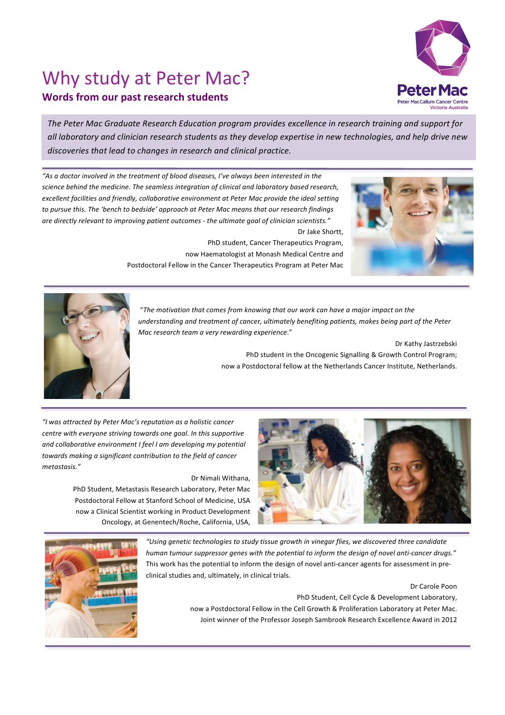## Why study at Peter Mac?



**Peter Mac** 

The Peter Mac Graduate Research Education program provides excellence in research training and support for *all laboratory and clinician research students as they develop expertise in new technologies, and help drive new*  discoveries that lead to changes in research and clinical practice.

"As a doctor involved in the treatment of blood diseases, I've always been interested in the science behind the medicine. The seamless integration of clinical and laboratory based research, excellent facilities and friendly, collaborative environment at Peter Mac provide the ideal setting to pursue this. The 'bench to bedside' approach at Peter Mac means that our research findings *are directly relevant to improving patient outcomes - the ultimate goal of clinician scientists."* Dr Jake Shortt, 

> PhD student, Cancer Therapeutics Program, now Haematologist at Monash Medical Centre and Postdoctoral Fellow in the Cancer Therapeutics Program at Peter Mac





.

"The motivation that comes from knowing that our work can have a major impact on the understanding and treatment of cancer, ultimately benefiting patients, makes being part of the Peter *Mac research team a very rewarding experience*."

> Dr Kathy Jastrzebski PhD student in the Oncogenic Signalling & Growth Control Program; now a Postdoctoral fellow at the Netherlands Cancer Institute, Netherlands.

*"I was attracted by Peter Mac's reputation as a holistic cancer centre with everyone striving towards one goal. In this supportive* and collaborative environment I feel I am developing my potential towards making a significant contribution to the field of cancer *metastasis."*

Dr Nimali Withana,

PhD Student, Metastasis Research Laboratory, Peter Mac Postdoctoral Fellow at Stanford School of Medicine, USA now a Clinical Scientist working in Product Development Oncology, at Genentech/Roche, California, USA,





"Using genetic technologies to study tissue growth in vinegar flies, we discovered three candidate human tumour suppressor genes with the potential to inform the design of novel anti-cancer drugs." This work has the potential to inform the design of novel anti-cancer agents for assessment in preclinical studies and, ultimately, in clinical trials.

## Dr Carole Poon

PhD Student, Cell Cycle & Development Laboratory, now a Postdoctoral Fellow in the Cell Growth & Proliferation Laboratory at Peter Mac. Joint winner of the Professor Joseph Sambrook Research Excellence Award in 2012